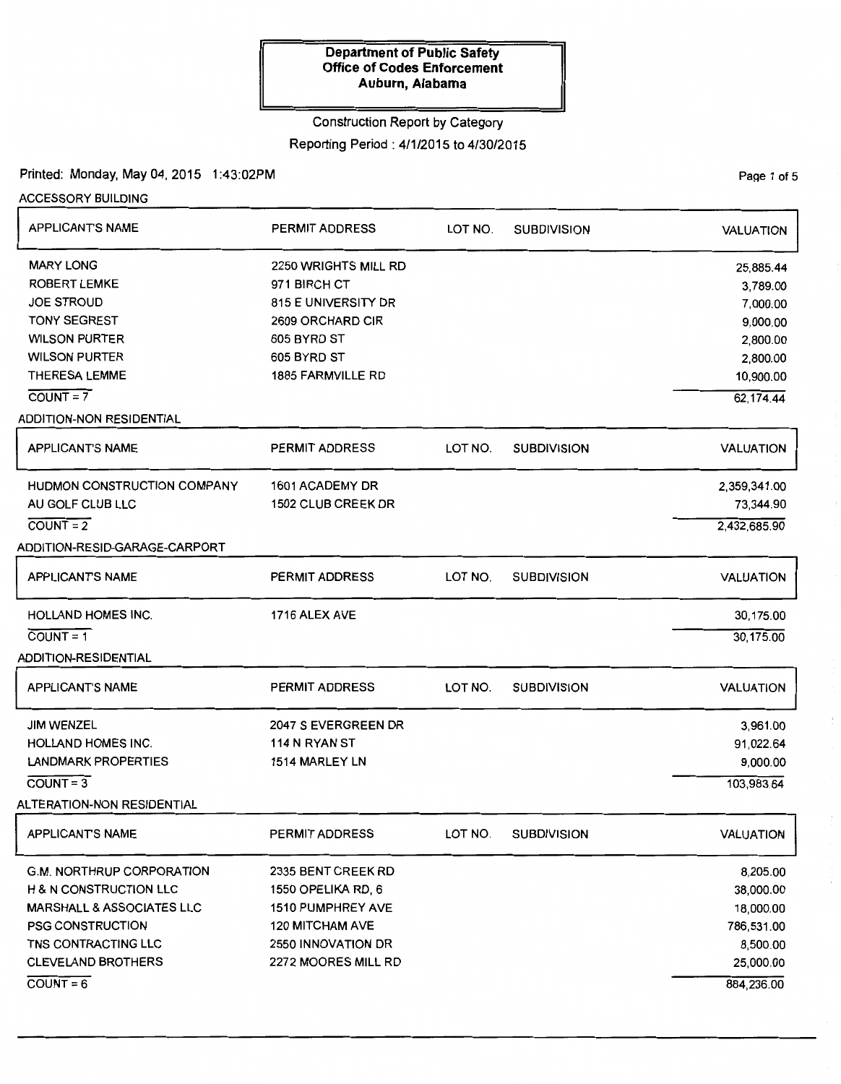# Construction Report by Category

# Reporting Period: 4/1/2015 to 4/30/2015

# Printed: Monday, May 04, 2015 1:43:02PM

ACCESSORY BUILDING

| <b>APPLICANT'S NAME</b>                 | <b>PERMIT ADDRESS</b>                | LOT NO. | <b>SUBDIVISION</b> | <b>VALUATION</b>      |
|-----------------------------------------|--------------------------------------|---------|--------------------|-----------------------|
| <b>MARY LONG</b><br><b>ROBERT LEMKE</b> | 2250 WRIGHTS MILL RD<br>971 BIRCH CT |         |                    | 25,885.44<br>3,789.00 |
| <b>JOE STROUD</b>                       | 815 E UNIVERSITY DR                  |         |                    | 7,000.00              |
| <b>TONY SEGREST</b>                     | 2609 ORCHARD CIR                     |         |                    | 9,000.00              |
| <b>WILSON PURTER</b>                    | 605 BYRD ST                          |         |                    | 2,800.00              |
| <b>WILSON PURTER</b>                    | 605 BYRD ST                          |         |                    | 2,800.00              |
| <b>THERESA LEMME</b>                    | 1885 FARMVILLE RD                    |         |                    | 10,900.00             |
| $COUNT = 7$                             |                                      |         |                    | 62,174.44             |
| <b>ADDITION-NON RESIDENTIAL</b>         |                                      |         |                    |                       |
| <b>APPLICANT'S NAME</b>                 | <b>PERMIT ADDRESS</b>                | LOT NO. | <b>SUBDIVISION</b> | <b>VALUATION</b>      |
| <b>HUDMON CONSTRUCTION COMPANY</b>      | 1601 ACADEMY DR                      |         |                    | 2,359,341.00          |
| AU GOLF CLUB LLC                        | <b>1502 CLUB CREEK DR</b>            |         |                    | 73,344.90             |
| $COUNT = 2$                             |                                      |         |                    | 2,432,685.90          |
| ADDITION-RESID-GARAGE-CARPORT           |                                      |         |                    |                       |
| <b>APPLICANT'S NAME</b>                 | <b>PERMIT ADDRESS</b>                | LOT NO. | <b>SUBDIVISION</b> | <b>VALUATION</b>      |
| <b>HOLLAND HOMES INC.</b>               | 1716 ALEX AVE                        |         |                    | 30,175.00             |
| $COUNT = 1$                             |                                      |         |                    | 30,175.00             |
| <b>ADDITION-RESIDENTIAL</b>             |                                      |         |                    |                       |
| <b>APPLICANT'S NAME</b>                 | <b>PERMIT ADDRESS</b>                | LOT NO. | <b>SUBDIVISION</b> | <b>VALUATION</b>      |
| <b>JIM WENZEL</b>                       | 2047 S EVERGREEN DR                  |         |                    | 3,961.00              |
| <b>HOLLAND HOMES INC.</b>               | 114 N RYAN ST                        |         |                    | 91,022.64             |
| <b>LANDMARK PROPERTIES</b>              | 1514 MARLEY LN                       |         |                    | 9,000.00              |
| $COUNT = 3$                             |                                      |         |                    | 103,983.64            |
| <b>ALTERATION-NON RESIDENTIAL</b>       |                                      |         |                    |                       |
| <b>APPLICANTS NAME</b>                  | PERMIT ADDRESS                       | LOT NO. | <b>SUBDIVISION</b> | <b>VALUATION</b>      |
| <b>G.M. NORTHRUP CORPORATION</b>        | 2335 BENT CREEK RD                   |         |                    | 8,205.00              |
| <b>H &amp; N CONSTRUCTION LLC</b>       | 1550 OPELIKA RD, 6                   |         |                    | 38,000.00             |
| <b>MARSHALL &amp; ASSOCIATES LLC</b>    | <b>1510 PUMPHREY AVE</b>             |         |                    | 18,000.00             |
| <b>PSG CONSTRUCTION</b>                 | <b>120 MITCHAM AVE</b>               |         |                    | 786,531.00            |
| TNS CONTRACTING LLC                     | 2550 INNOVATION DR                   |         |                    | 8,500.00              |
| <b>CLEVELAND BROTHERS</b>               | 2272 MOORES MILL RD                  |         |                    | 25,000.00             |
| $\overline{COUNT} = 6$                  |                                      |         |                    | 884,236.00            |

Page 1 of 5

 $\frac{1}{\sqrt{2}}$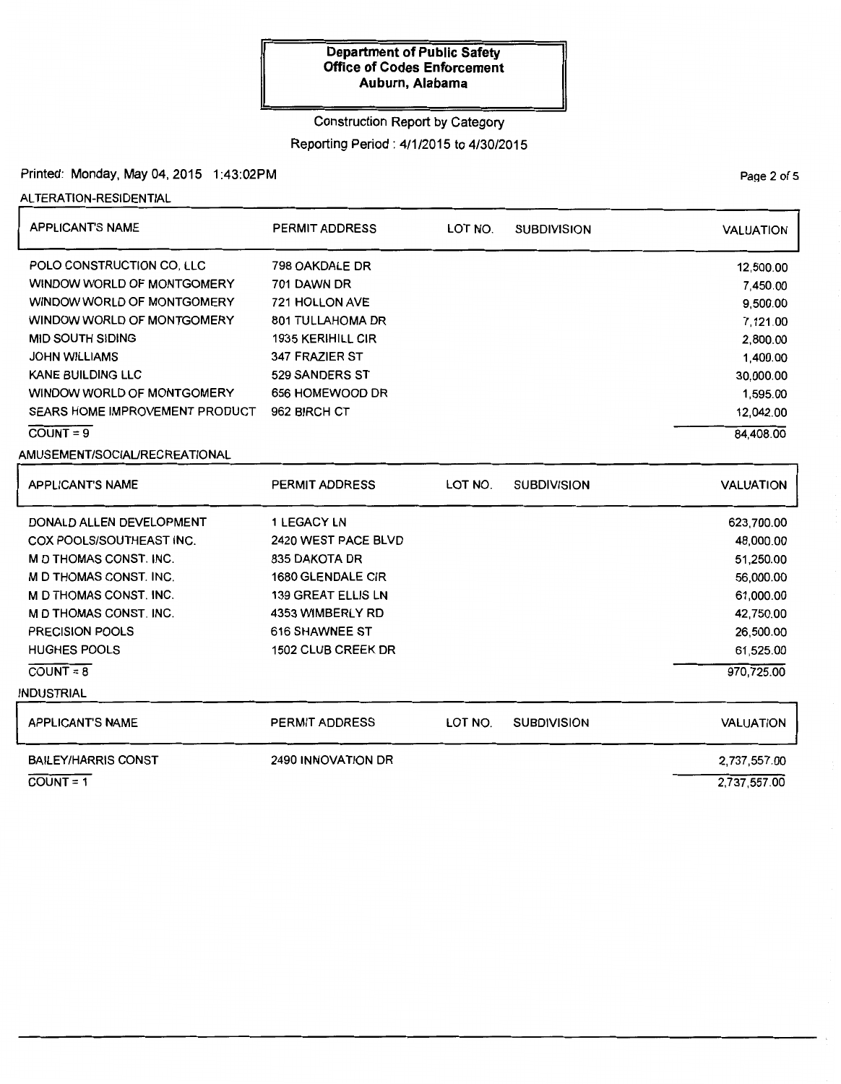#### Construction Report by Category

### Reporting Period : 4/1/2015 to 4/30/2015

PaQe 2 of 5

### Printed: Monday, May 04, 2015 1:43:02PM

ALTERATION-RESIDENTIAL

| <b>APPLICANT'S NAME</b>               | <b>PERMIT ADDRESS</b>     | LOT NO.<br><b>SUBDIVISION</b> |                    | <b>VALUATION</b> |
|---------------------------------------|---------------------------|-------------------------------|--------------------|------------------|
| POLO CONSTRUCTION CO. LLC             | 798 OAKDALE DR            |                               |                    | 12,500.00        |
| WINDOW WORLD OF MONTGOMERY            | 701 DAWN DR               |                               |                    | 7,450.00         |
| WINDOW WORLD OF MONTGOMERY            | <b>721 HOLLON AVE</b>     |                               |                    | 9,500.00         |
| WINDOW WORLD OF MONTGOMERY            | <b>801 TULLAHOMA DR</b>   |                               |                    | 7,121.00         |
| <b>MID SOUTH SIDING</b>               | <b>1935 KERIHILL CIR</b>  |                               |                    | 2,800.00         |
| <b>JOHN WILLIAMS</b>                  | 347 FRAZIER ST            |                               |                    | 1,400.00         |
| <b>KANE BUILDING LLC</b>              | 529 SANDERS ST            |                               |                    | 30,000.00        |
| WINDOW WORLD OF MONTGOMERY            | 656 HOMEWOOD DR           |                               |                    | 1,595.00         |
| <b>SEARS HOME IMPROVEMENT PRODUCT</b> | 962 BIRCH CT              |                               |                    | 12,042.00        |
| $C= 9$                                |                           |                               |                    | 84,408.00        |
| AMUSEMENT/SOCIAL/RECREATIONAL         |                           |                               |                    |                  |
| <b>APPLICANT'S NAME</b>               | <b>PERMIT ADDRESS</b>     | LOT NO.                       | <b>SUBDIVISION</b> | <b>VALUATION</b> |
| DONALD ALLEN DEVELOPMENT              | <b>1 LEGACY LN</b>        |                               |                    | 623,700.00       |
| COX POOLS/SOUTHEAST INC.              | 2420 WEST PACE BLVD       |                               |                    | 48,000.00        |
| <b>M D THOMAS CONST. INC.</b>         | 835 DAKOTA DR             |                               |                    | 51,250.00        |
| <b>M D THOMAS CONST. INC.</b>         | 1680 GLENDALE CIR         |                               |                    | 56,000.00        |
| M D THOMAS CONST. INC.                | <b>139 GREAT ELLIS LN</b> |                               |                    | 61,000.00        |
| M D THOMAS CONST. INC.                | 4353 WIMBERLY RD          |                               |                    | 42,750.00        |
| <b>PRECISION POOLS</b>                | 616 SHAWNEE ST            |                               |                    | 26,500.00        |
| <b>HUGHES POOLS</b>                   | 1502 CLUB CREEK DR        |                               |                    | 61,525.00        |
| $COUNT = 8$                           |                           |                               |                    | 970,725.00       |
| <b>INDUSTRIAL</b>                     |                           |                               |                    |                  |
| <b>APPLICANT'S NAME</b>               | <b>PERMIT ADDRESS</b>     | LOT NO.                       | <b>SUBDIVISION</b> | <b>VALUATION</b> |
| <b>BAILEY/HARRIS CONST</b>            | 2490 INNOVATION DR        |                               |                    | 2,737,557.00     |
| $\overline{COUNT} = 1$                |                           |                               |                    | 2,737,557.00     |

COUNT =  $\gamma$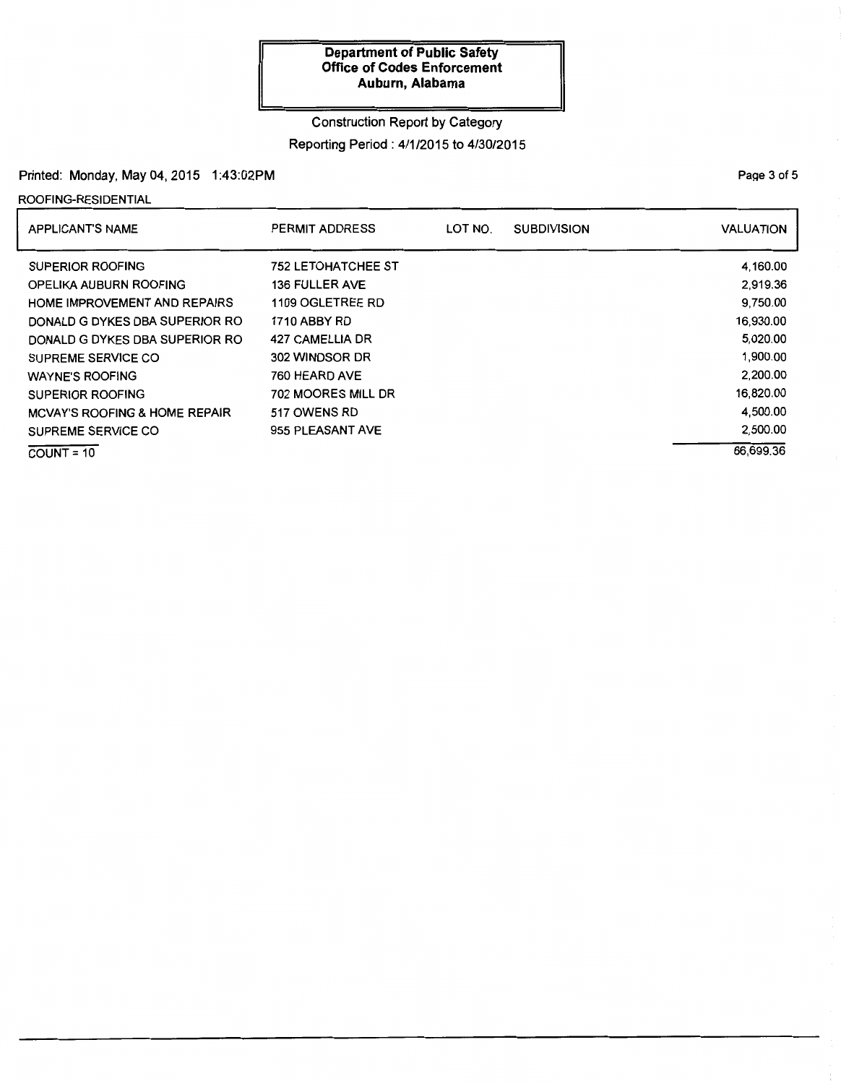## Construction Report by Category

# Reporting Period : 4/1/2015 to 4/30/2015

### Printed: Monday, May 04, 2015 1:43:02PM

ROOFING-RESIDENTIAL

| <b>APPLICANT'S NAME</b>                  | PERMIT ADDRESS            | LOT NO. | <b>SUBDIVISION</b> | <b>VALUATION</b> |
|------------------------------------------|---------------------------|---------|--------------------|------------------|
| SUPERIOR ROOFING                         | <b>752 LETOHATCHEE ST</b> |         |                    | 4.160.00         |
| OPELIKA AUBURN ROOFING                   | <b>136 FULLER AVE</b>     |         |                    | 2.919.36         |
| <b>HOME IMPROVEMENT AND REPAIRS</b>      | 1109 OGLETREE RD          |         |                    | 9.750.00         |
| DONALD G DYKES DBA SUPERIOR RO           | <b>1710 ABBY RD</b>       |         |                    | 16,930.00        |
| DONALD G DYKES DBA SUPERIOR RO           | 427 CAMELLIA DR           |         |                    | 5.020.00         |
| SUPREME SERVICE CO                       | 302 WINDSOR DR            |         |                    | 1,900.00         |
| <b>WAYNE'S ROOFING</b>                   | 760 HEARD AVE             |         |                    | 2.200.00         |
| <b>SUPERIOR ROOFING</b>                  | 702 MOORES MILL DR        |         |                    | 16,820.00        |
| <b>MCVAY'S ROOFING &amp; HOME REPAIR</b> | 517 OWENS RD              |         |                    | 4,500.00         |
| SUPREME SERVICE CO                       | 955 PLEASANT AVE          |         |                    | 2,500.00         |
| $COUNT = 10$                             |                           |         |                    | 66,699.36        |

PaQe 3 of 5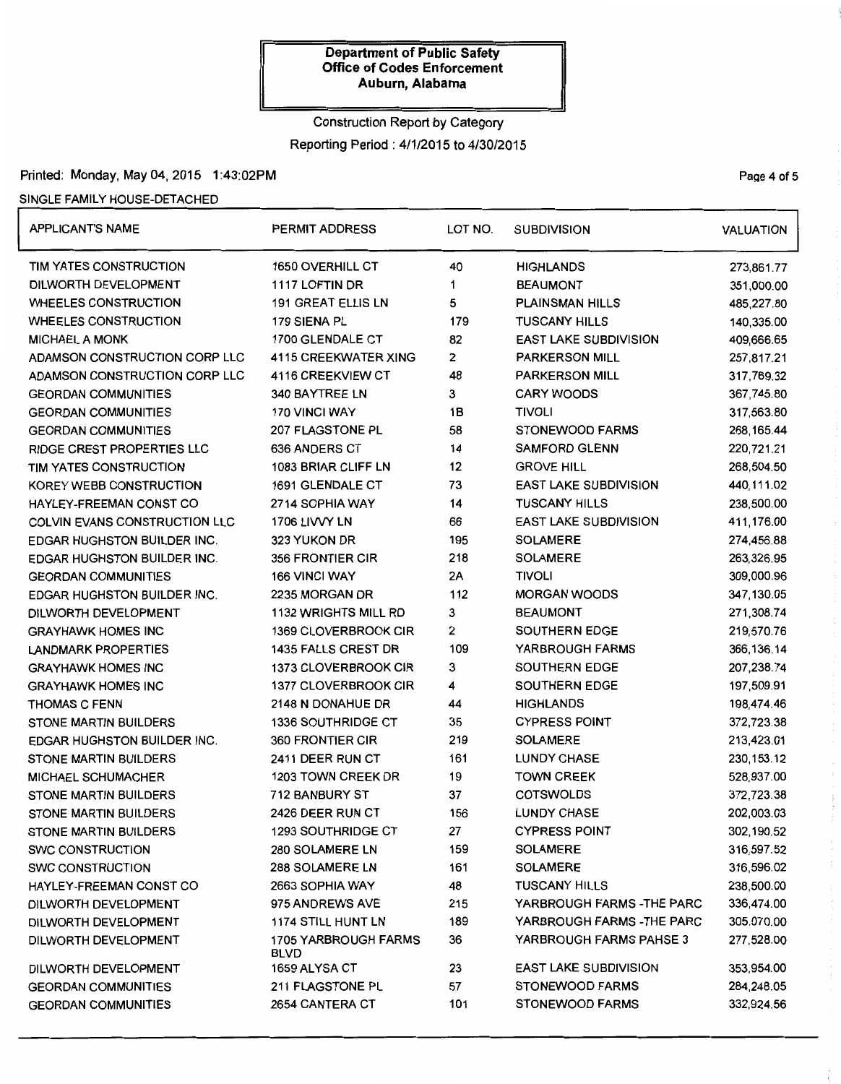# Construction Report by Category Reporting Period: 4/1/2015 to 4/30/2015

#### Printed: Monday, May 04, 2015 1:43:02PM **Page 4 of 5** and 2018 1:43:02PM

#### SINGLE FAMILY HOUSE-DETACHED

| <b>APPLICANT'S NAME</b>            | PERMIT ADDRESS                             | LOT NO.<br><b>SUBDIVISION</b> |                                | <b>VALUATION</b> |
|------------------------------------|--------------------------------------------|-------------------------------|--------------------------------|------------------|
| TIM YATES CONSTRUCTION             | 1650 OVERHILL CT                           | 40                            | <b>HIGHLANDS</b>               | 273,861.77       |
| DILWORTH DEVELOPMENT               | 1117 LOFTIN DR                             | <b>BEAUMONT</b><br>1          |                                | 351,000.00       |
| <b>WHEELES CONSTRUCTION</b>        | <b>191 GREAT ELLIS LN</b>                  | 5                             | <b>PLAINSMAN HILLS</b>         | 485,227.80       |
| <b>WHEELES CONSTRUCTION</b>        | 179 SIENA PL                               | 179                           | <b>TUSCANY HILLS</b>           | 140,335.00       |
| <b>MICHAEL A MONK</b>              | 1700 GLENDALE CT                           | 82                            | <b>EAST LAKE SUBDIVISION</b>   | 409,666.65       |
| ADAMSON CONSTRUCTION CORP LLC      | 4115 CREEKWATER XING                       | 2                             | <b>PARKERSON MILL</b>          | 257,817.21       |
| ADAMSON CONSTRUCTION CORP LLC      | 4116 CREEKVIEW CT                          | 48                            | <b>PARKERSON MILL</b>          | 317,769.32       |
| <b>GEORDAN COMMUNITIES</b>         | 340 BAYTREE LN                             | 3                             | <b>CARY WOODS</b>              | 367,745.80       |
| <b>GEORDAN COMMUNITIES</b>         | 170 VINCI WAY                              | 1B                            | <b>TIVOLI</b>                  | 317,563.80       |
| <b>GEORDAN COMMUNITIES</b>         | 207 FLAGSTONE PL                           | 58                            | <b>STONEWOOD FARMS</b>         | 268, 165.44      |
| <b>RIDGE CREST PROPERTIES LLC</b>  | 636 ANDERS CT                              | 14                            | <b>SAMFORD GLENN</b>           | 220,721.21       |
| TIM YATES CONSTRUCTION             | 1083 BRIAR CLIFF LN                        | 12                            | <b>GROVE HILL</b>              | 268,504.50       |
| KOREY WEBB CONSTRUCTION            | 1691 GLENDALE CT                           | 73                            | <b>EAST LAKE SUBDIVISION</b>   | 440,111.02       |
| HAYLEY-FREEMAN CONST CO            | 2714 SOPHIA WAY                            | 14                            | <b>TUSCANY HILLS</b>           | 238,500.00       |
| COLVIN EVANS CONSTRUCTION LLC      | 1706 LIVVY LN                              | 66                            | <b>EAST LAKE SUBDIVISION</b>   | 411,176.00       |
| <b>EDGAR HUGHSTON BUILDER INC.</b> | 323 YUKON DR                               | 195                           | <b>SOLAMERE</b>                | 274,456.88       |
| EDGAR HUGHSTON BUILDER INC.        | 356 FRONTIER CIR                           | 218                           | <b>SOLAMERE</b>                | 263,326.95       |
| <b>GEORDAN COMMUNITIES</b>         | 166 VINCI WAY                              | 2A                            | <b>TIVOLI</b>                  | 309,000.96       |
| EDGAR HUGHSTON BUILDER INC.        | 2235 MORGAN DR                             | 112                           | <b>MORGAN WOODS</b>            | 347,130.05       |
| DILWORTH DEVELOPMENT               | <b>1132 WRIGHTS MILL RD</b>                | 3                             | <b>BEAUMONT</b>                | 271,308.74       |
| <b>GRAYHAWK HOMES INC</b>          | 1369 CLOVERBROOK CIR                       | 2                             | SOUTHERN EDGE                  | 219,570.76       |
| <b>LANDMARK PROPERTIES</b>         | 1435 FALLS CREST DR                        | 109                           | YARBROUGH FARMS                | 366, 136. 14     |
| <b>GRAYHAWK HOMES INC</b>          | 1373 CLOVERBROOK CIR                       | 3                             | <b>SOUTHERN EDGE</b>           | 207,238.74       |
| <b>GRAYHAWK HOMES INC</b>          | 1377 CLOVERBROOK CIR                       | 4                             | SOUTHERN EDGE                  | 197,509.91       |
| <b>THOMAS C FENN</b>               | 2148 N DONAHUE DR                          | 44                            | <b>HIGHLANDS</b>               | 198,474.46       |
| <b>STONE MARTIN BUILDERS</b>       | 1336 SOUTHRIDGE CT                         | 35                            | <b>CYPRESS POINT</b>           | 372,723.38       |
| <b>EDGAR HUGHSTON BUILDER INC.</b> | 360 FRONTIER CIR                           | 219                           | <b>SOLAMERE</b>                | 213,423.01       |
| <b>STONE MARTIN BUILDERS</b>       | 2411 DEER RUN CT                           | 161                           | <b>LUNDY CHASE</b>             | 230, 153.12      |
| <b>MICHAEL SCHUMACHER</b>          | 1203 TOWN CREEK DR                         | 19                            | <b>TOWN CREEK</b>              | 528,937.00       |
| <b>STONE MARTIN BUILDERS</b>       | 712 BANBURY ST                             | 37                            | <b>COTSWOLDS</b>               | 372,723.38       |
| <b>STONE MARTIN BUILDERS</b>       | 2426 DEER RUN CT                           | 156                           | <b>LUNDY CHASE</b>             | 202,003.03       |
| STONE MARTIN BUILDERS              | 1293 SOUTHRIDGE CT                         | 27                            | <b>CYPRESS POINT</b>           | 302,190.52       |
| <b>SWC CONSTRUCTION</b>            | 280 SOLAMERE LN                            | 159                           | <b>SOLAMERE</b>                | 316,597.52       |
| <b>SWC CONSTRUCTION</b>            | 288 SOLAMERE LN                            | 161                           | <b>SOLAMERE</b>                | 316,596.02       |
| HAYLEY-FREEMAN CONST CO            | 2663 SOPHIA WAY                            | 48                            | <b>TUSCANY HILLS</b>           | 238,500.00       |
| DILWORTH DEVELOPMENT               | 975 ANDREWS AVE                            | 215                           | YARBROUGH FARMS - THE PARC     | 336,474.00       |
| DILWORTH DEVELOPMENT               | <b>1174 STILL HUNT LN</b>                  | 189                           | YARBROUGH FARMS -THE PARC      | 305,070.00       |
| DILWORTH DEVELOPMENT               | <b>1705 YARBROUGH FARMS</b><br><b>BLVD</b> | 36                            | <b>YARBROUGH FARMS PAHSE 3</b> | 277,528.00       |
| DILWORTH DEVELOPMENT               | 1659 ALYSA CT                              | 23                            | <b>EAST LAKE SUBDIVISION</b>   | 353,954.00       |
| <b>GEORDAN COMMUNITIES</b>         | 211 FLAGSTONE PL                           | 57                            | <b>STONEWOOD FARMS</b>         | 284,248.05       |
| <b>GEORDAN COMMUNITIES</b>         | 2654 CANTERA CT                            | 101                           | <b>STONEWOOD FARMS</b>         | 332,924.56       |

 $\sim$   $\sim$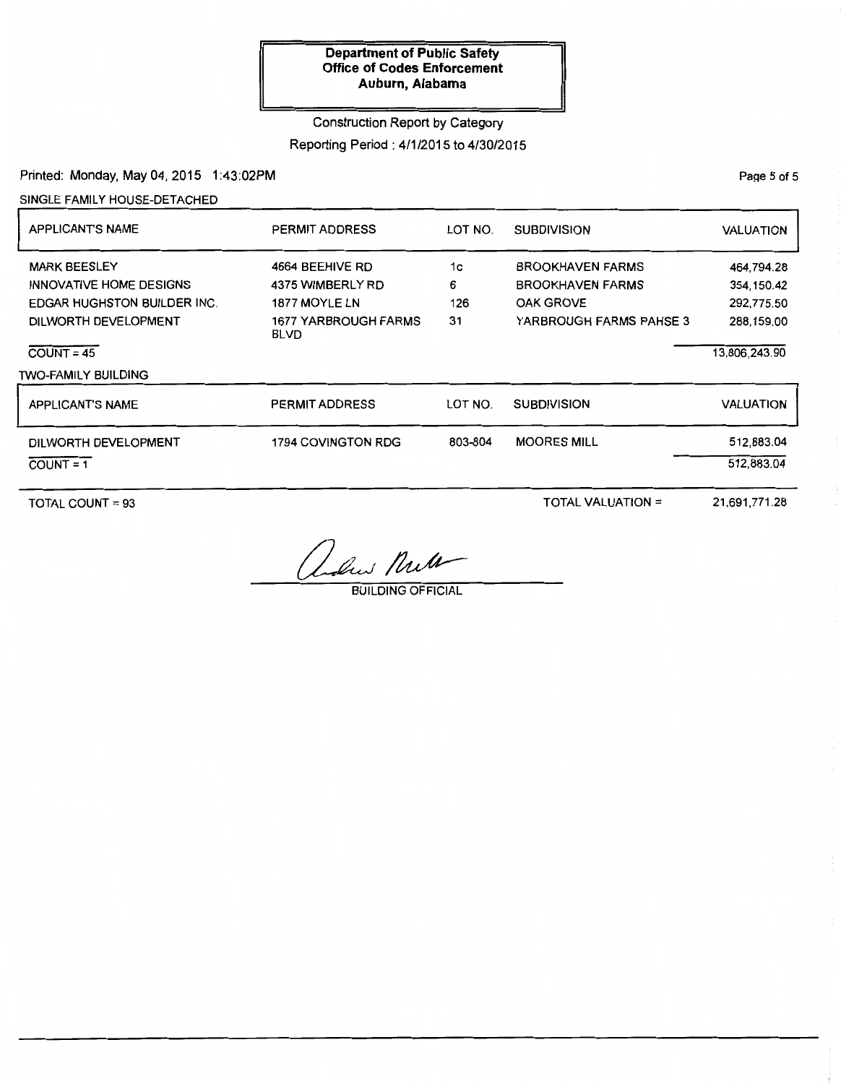# Construction Report by Category

# Reporting Period: 4/1/2015 to 4/30/2015

Printed: Monday, May 04, 2015 1:43:02PM

SINGLE FAMILY HOUSE-DETACHED

| <b>APPLICANT'S NAME</b>            | <b>PERMIT ADDRESS</b>               | LOT NO. | <b>SUBDIVISION</b>      | <b>VALUATION</b> |
|------------------------------------|-------------------------------------|---------|-------------------------|------------------|
| <b>MARK BEESLEY</b>                | 4664 BEEHIVE RD                     | 1c      | <b>BROOKHAVEN FARMS</b> | 464,794.28       |
| INNOVATIVE HOME DESIGNS            | 4375 WIMBERLY RD                    | 6       | <b>BROOKHAVEN FARMS</b> | 354, 150.42      |
| <b>EDGAR HUGHSTON BUILDER INC.</b> | 1877 MOYLE LN                       | 126     | <b>OAK GROVE</b>        | 292.775.50       |
| DILWORTH DEVELOPMENT               | 1677 YARBROUGH FARMS<br><b>BLVD</b> | 31      | YARBROUGH FARMS PAHSE 3 | 288,159.00       |
| $COUNT = 45$                       |                                     |         |                         | 13,806,243.90    |
| <b>TWO-FAMILY BUILDING</b>         |                                     |         |                         |                  |
| <b>APPLICANT'S NAME</b>            | <b>PERMIT ADDRESS</b>               | LOT NO. | <b>SUBDIVISION</b>      | VALUATION        |
| DILWORTH DEVELOPMENT               | 1794 COVINGTON RDG                  | 803-804 | <b>MOORES MILL</b>      | 512,883.04       |
| $COUNT = 1$                        |                                     |         |                         | 512,883.04       |

TOTAL COUNT= 93

TOTAL VALUATION =

21,691,771.28

adres Null

BUILDING OFFICIAL

PaQe 5 of 5